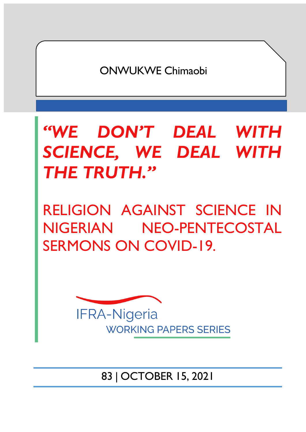ONWUKWE Chimaobi

*"WE DON'T DEAL WITH SCIENCE, WE DEAL WITH THE TRUTH."*

RELIGION AGAINST SCIENCE IN NIGERIAN NEO-PENTECOSTAL SERMONS ON COVID-19.



83 | OCTOBER 15, 2021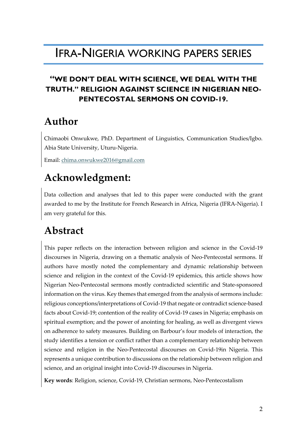## IFRA-NIGERIA WORKING PAPERS SERIES

### **"WE DON'T DEAL WITH SCIENCE, WE DEAL WITH THE TRUTH." RELIGION AGAINST SCIENCE IN NIGERIAN NEO-PENTECOSTAL SERMONS ON COVID-19.**

### **Author**

Chimaobi Onwukwe, PhD. Department of Linguistics, Communication Studies/Igbo. Abia State University, Uturu-Nigeria.

Email: chima.onwukwe2016@gmail.com

## **Acknowledgment:**

Data collection and analyses that led to this paper were conducted with the grant awarded to me by the Institute for French Research in Africa, Nigeria (IFRA-Nigeria). I am very grateful for this.

## **Abstract**

This paper reflects on the interaction between religion and science in the Covid-19 discourses in Nigeria, drawing on a thematic analysis of Neo-Pentecostal sermons. If authors have mostly noted the complementary and dynamic relationship between science and religion in the context of the Covid-19 epidemics, this article shows how Nigerian Neo-Pentecostal sermons mostly contradicted scientific and State-sponsored information on the virus. Key themes that emerged from the analysis of sermons include: religious conceptions/interpretations of Covid-19 that negate or contradict science-based facts about Covid-19; contention of the reality of Covid-19 cases in Nigeria; emphasis on spiritual exemption; and the power of anointing for healing, as well as divergent views on adherence to safety measures. Building on Barbour's four models of interaction, the study identifies a tension or conflict rather than a complementary relationship between science and religion in the Neo-Pentecostal discourses on Covid-19in Nigeria. This represents a unique contribution to discussions on the relationship between religion and science, and an original insight into Covid-19 discourses in Nigeria.

**Key words**: Religion, science, Covid-19, Christian sermons, Neo-Pentecostalism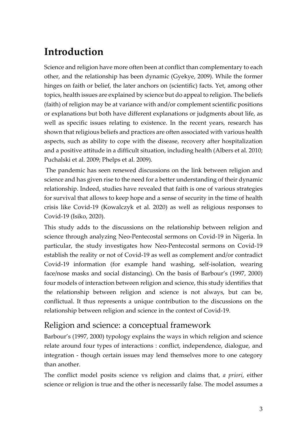# **Introduction**

Science and religion have more often been at conflict than complementary to each other, and the relationship has been dynamic (Gyekye, 2009). While the former hinges on faith or belief, the later anchors on (scientific) facts. Yet, among other topics, health issues are explained by science but do appeal to religion. The beliefs (faith) of religion may be at variance with and/or complement scientific positions or explanations but both have different explanations or judgments about life, as well as specific issues relating to existence. In the recent years, research has shown that religious beliefs and practices are often associated with various health aspects, such as ability to cope with the disease, recovery after hospitalization and a positive attitude in a difficult situation, including health (Albers et al. 2010; Puchalski et al. 2009; Phelps et al. 2009).

The pandemic has seen renewed discussions on the link between religion and science and has given rise to the need for a better understanding of their dynamic relationship. Indeed, studies have revealed that faith is one of various strategies for survival that allows to keep hope and a sense of security in the time of health crisis like Covid-19 (Kowalczyk et al. 2020) as well as religious responses to Covid-19 (Isiko, 2020).

This study adds to the discussions on the relationship between religion and science through analyzing Neo-Pentecostal sermons on Covid-19 in Nigeria. In particular, the study investigates how Neo-Pentecostal sermons on Covid-19 establish the reality or not of Covid-19 as well as complement and/or contradict Covid-19 information (for example hand washing, self-isolation, wearing face/nose masks and social distancing). On the basis of Barbour's (1997, 2000) four models of interaction between religion and science, this study identifies that the relationship between religion and science is not always, but can be, conflictual. It thus represents a unique contribution to the discussions on the relationship between religion and science in the context of Covid-19.

### Religion and science: a conceptual framework

Barbour's (1997, 2000) typology explains the ways in which religion and science relate around four types of interactions : conflict, independence, dialogue, and integration - though certain issues may lend themselves more to one category than another.

The conflict model posits science vs religion and claims that, *a priori*, either science or religion is true and the other is necessarily false. The model assumes a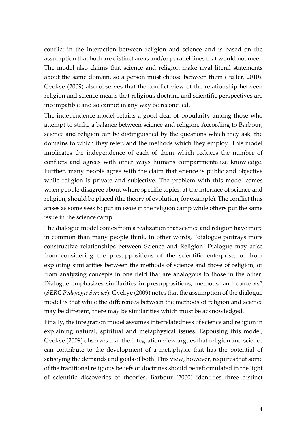conflict in the interaction between religion and science and is based on the assumption that both are distinct areas and/or parallel lines that would not meet. The model also claims that science and religion make rival literal statements about the same domain, so a person must choose between them (Fuller, 2010). Gyekye (2009) also observes that the conflict view of the relationship between religion and science means that religious doctrine and scientific perspectives are incompatible and so cannot in any way be reconciled.

The independence model retains a good deal of popularity among those who attempt to strike a balance between science and religion. According to Barbour, science and religion can be distinguished by the questions which they ask, the domains to which they refer, and the methods which they employ. This model implicates the independence of each of them which reduces the number of conflicts and agrees with other ways humans compartmentalize knowledge. Further, many people agree with the claim that science is public and objective while religion is private and subjective. The problem with this model comes when people disagree about where specific topics, at the interface of science and religion, should be placed (the theory of evolution, for example). The conflict thus arises as some seek to put an issue in the religion camp while others put the same issue in the science camp.

The dialogue model comes from a realization that science and religion have more in common than many people think. In other words, "dialogue portrays more constructive relationships between Science and Religion. Dialogue may arise from considering the presuppositions of the scientific enterprise, or from exploring similarities between the methods of science and those of religion, or from analyzing concepts in one field that are analogous to those in the other. Dialogue emphasizes similarities in presuppositions, methods, and concepts" (*SERC Pedagogic Service*). Gyekye (2009) notes that the assumption of the dialogue model is that while the differences between the methods of religion and science may be different, there may be similarities which must be acknowledged.

Finally, the integration model assumes interrelatedness of science and religion in explaining natural, spiritual and metaphysical issues. Espousing this model, Gyekye (2009) observes that the integration view argues that religion and science can contribute to the development of a metaphysic that has the potential of satisfying the demands and goals of both. This view, however, requires that some of the traditional religious beliefs or doctrines should be reformulated in the light of scientific discoveries or theories. Barbour (2000) identifies three distinct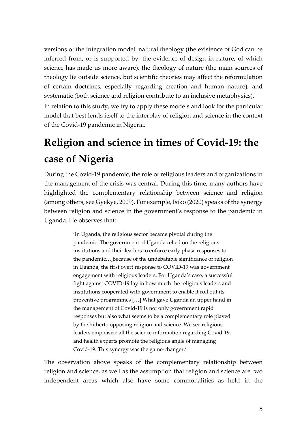versions of the integration model: natural theology (the existence of God can be inferred from, or is supported by, the evidence of design in nature, of which science has made us more aware), the theology of nature (the main sources of theology lie outside science, but scientific theories may affect the reformulation of certain doctrines, especially regarding creation and human nature), and systematic (both science and religion contribute to an inclusive metaphysics).

In relation to this study, we try to apply these models and look for the particular model that best lends itself to the interplay of religion and science in the context of the Covid-19 pandemic in Nigeria.

# **Religion and science in times of Covid-19: the case of Nigeria**

During the Covid-19 pandemic, the role of religious leaders and organizations in the management of the crisis was central. During this time, many authors have highlighted the complementary relationship between science and religion (among others, see Gyekye, 2009). For example, Isiko (2020) speaks of the synergy between religion and science in the government's response to the pandemic in Uganda. He observes that:

> 'In Uganda, the religious sector became pivotal during the pandemic. The government of Uganda relied on the religious institutions and their leaders to enforce early phase responses to the pandemic… Because of the undebatable significance of religion in Uganda, the first overt response to COVID-19 was government engagement with religious leaders. For Uganda's case, a successful fight against COVID-19 lay in how much the religious leaders and institutions cooperated with government to enable it roll out its preventive programmes […] What gave Uganda an upper hand in the management of Covid-19 is not only government rapid responses but also what seems to be a complementary role played by the hitherto opposing religion and science. We see religious leaders emphasize all the science information regarding Covid-19, and health experts promote the religious angle of managing Covid-19. This synergy was the game-changer.'

The observation above speaks of the complementary relationship between religion and science, as well as the assumption that religion and science are two independent areas which also have some commonalities as held in the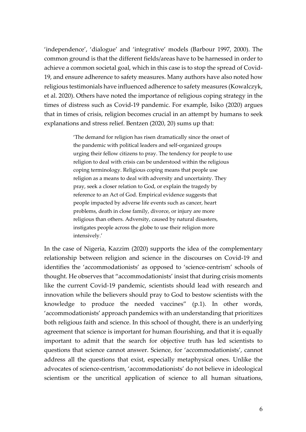'independence', 'dialogue' and 'integrative' models (Barbour 1997, 2000). The common ground is that the different fields/areas have to be harnessed in order to achieve a common societal goal, which in this case is to stop the spread of Covid-19, and ensure adherence to safety measures. Many authors have also noted how religious testimonials have influenced adherence to safety measures (Kowalczyk, et al. 2020). Others have noted the importance of religious coping strategy in the times of distress such as Covid-19 pandemic. For example, Isiko (2020) argues that in times of crisis, religion becomes crucial in an attempt by humans to seek explanations and stress relief. Bentzen (2020, 20) sums up that:

> 'The demand for religion has risen dramatically since the onset of the pandemic with political leaders and self-organized groups urging their fellow citizens to pray. The tendency for people to use religion to deal with crisis can be understood within the religious coping terminology. Religious coping means that people use religion as a means to deal with adversity and uncertainty. They pray, seek a closer relation to God, or explain the tragedy by reference to an Act of God. Empirical evidence suggests that people impacted by adverse life events such as cancer, heart problems, death in close family, divorce, or injury are more religious than others. Adversity, caused by natural disasters, instigates people across the globe to use their religion more intensively.'

In the case of Nigeria, Kazzim (2020) supports the idea of the complementary relationship between religion and science in the discourses on Covid-19 and identifies the 'accommodationists' as opposed to 'science-centrism' schools of thought. He observes that "accommodationists' insist that during crisis moments like the current Covid-19 pandemic, scientists should lead with research and innovation while the believers should pray to God to bestow scientists with the knowledge to produce the needed vaccines" (p.1). In other words, 'accommodationists' approach pandemics with an understanding that prioritizes both religious faith and science. In this school of thought, there is an underlying agreement that science is important for human flourishing, and that it is equally important to admit that the search for objective truth has led scientists to questions that science cannot answer. Science, for 'accommodationists', cannot address all the questions that exist, especially metaphysical ones. Unlike the advocates of science-centrism, 'accommodationists' do not believe in ideological scientism or the uncritical application of science to all human situations,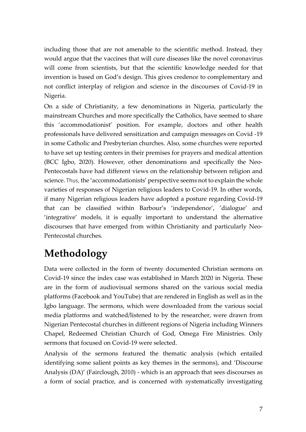including those that are not amenable to the scientific method. Instead, they would argue that the vaccines that will cure diseases like the novel coronavirus will come from scientists, but that the scientific knowledge needed for that invention is based on God's design. This gives credence to complementary and not conflict interplay of religion and science in the discourses of Covid-19 in Nigeria.

On a side of Christianity, a few denominations in Nigeria, particularly the mainstream Churches and more specifically the Catholics, have seemed to share this 'accommodationist' position. For example, doctors and other health professionals have delivered sensitization and campaign messages on Covid -19 in some Catholic and Presbyterian churches. Also, some churches were reported to have set up testing centers in their premises for prayers and medical attention (BCC Igbo, 2020). However, other denominations and specifically the Neo-Pentecostals have had different views on the relationship between religion and science. Thus, the 'accommodationists' perspective seems not to explain the whole varieties of responses of Nigerian religious leaders to Covid-19. In other words, if many Nigerian religious leaders have adopted a posture regarding Covid-19 that can be classified within Barbour's 'independence', 'dialogue' and 'integrative' models, it is equally important to understand the alternative discourses that have emerged from within Christianity and particularly Neo-Pentecostal churches.

## **Methodology**

Data were collected in the form of twenty documented Christian sermons on Covid-19 since the index case was established in March 2020 in Nigeria. These are in the form of audiovisual sermons shared on the various social media platforms (Facebook and YouTube) that are rendered in English as well as in the Igbo language. The sermons, which were downloaded from the various social media platforms and watched/listened to by the researcher, were drawn from Nigerian Pentecostal churches in different regions of Nigeria including Winners Chapel, Redeemed Christian Church of God, Omega Fire Ministries. Only sermons that focused on Covid-19 were selected.

Analysis of the sermons featured the thematic analysis (which entailed identifying some salient points as key themes in the sermons), and 'Discourse Analysis (DA)' (Fairclough, 2010) - which is an approach that sees discourses as a form of social practice, and is concerned with systematically investigating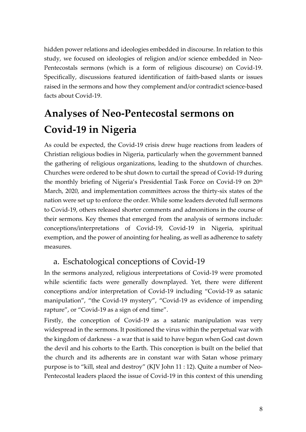hidden power relations and ideologies embedded in discourse. In relation to this study, we focused on ideologies of religion and/or science embedded in Neo-Pentecostals sermons (which is a form of religious discourse) on Covid-19. Specifically, discussions featured identification of faith-based slants or issues raised in the sermons and how they complement and/or contradict science-based facts about Covid-19.

# **Analyses of Neo-Pentecostal sermons on Covid-19 in Nigeria**

As could be expected, the Covid-19 crisis drew huge reactions from leaders of Christian religious bodies in Nigeria, particularly when the government banned the gathering of religious organizations, leading to the shutdown of churches. Churches were ordered to be shut down to curtail the spread of Covid-19 during the monthly briefing of Nigeria's Presidential Task Force on Covid-19 on 20<sup>th</sup> March, 2020, and implementation committees across the thirty-six states of the nation were set up to enforce the order. While some leaders devoted full sermons to Covid-19, others released shorter comments and admonitions in the course of their sermons. Key themes that emerged from the analysis of sermons include: conceptions/interpretations of Covid-19, Covid-19 in Nigeria, spiritual exemption, and the power of anointing for healing, as well as adherence to safety measures.

### a. Eschatological conceptions of Covid-19

In the sermons analyzed, religious interpretations of Covid-19 were promoted while scientific facts were generally downplayed. Yet, there were different conceptions and/or interpretation of Covid-19 including "Covid-19 as satanic manipulation", "the Covid-19 mystery", "Covid-19 as evidence of impending rapture", or "Covid-19 as a sign of end time".

Firstly, the conception of Covid-19 as a satanic manipulation was very widespread in the sermons. It positioned the virus within the perpetual war with the kingdom of darkness - a war that is said to have begun when God cast down the devil and his cohorts to the Earth. This conception is built on the belief that the church and its adherents are in constant war with Satan whose primary purpose is to "kill, steal and destroy" (KJV John 11 : 12). Quite a number of Neo-Pentecostal leaders placed the issue of Covid-19 in this context of this unending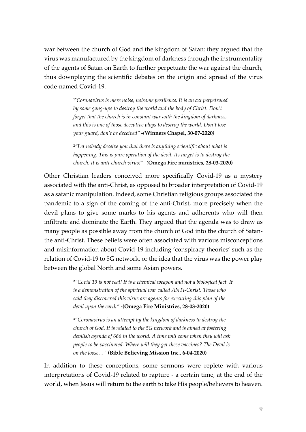war between the church of God and the kingdom of Satan: they argued that the virus was manufactured by the kingdom of darkness through the instrumentality of the agents of Satan on Earth to further perpetuate the war against the church, thus downplaying the scientific debates on the origin and spread of the virus code-named Covid-19.

> **1"***Coronavirus is mere noise, noisome pestilence. It is an act perpetrated by some gang-ups to destroy the world and the body of Christ. Don't forget that the church is in constant war with the kingdom of darkness, and this is one of those deceptive ploys to destroy the world. Don't lose your guard, don't be deceived" -(***Winners Chapel, 30-07-2020***)*

**<sup>2</sup>***"Let nobody deceive you that there is anything scientific about what is happening. This is pure operation of the devil. Its target is to destroy the church. It is anti-church virus!" -(***Omega Fire ministries, 28-03-2020)**

Other Christian leaders conceived more specifically Covid-19 as a mystery associated with the anti-Christ, as opposed to broader interpretation of Covid-19 as a satanic manipulation. Indeed, some Christian religious groups associated the pandemic to a sign of the coming of the anti-Christ, more precisely when the devil plans to give some marks to his agents and adherents who will then infiltrate and dominate the Earth. They argued that the agenda was to draw as many people as possible away from the church of God into the church of Satanthe anti-Christ. These beliefs were often associated with various misconceptions and misinformation about Covid-19 including 'conspiracy theories' such as the relation of Covid-19 to 5G network, or the idea that the virus was the power play between the global North and some Asian powers.

> **<sup>2</sup>***"Covid 19 is not real! It is a chemical weapon and not a biological fact. It is a demonstration of the spiritual war called ANTI-Christ. Those who said they discovered this virus are agents for executing this plan of the devil upon the earth"* **-(Omega Fire Ministries, 28-03-2020)**

**<sup>3</sup>***"Coronavirus is an attempt by the kingdom of darkness to destroy the church of God. It is related to the 5G network and is aimed at fostering devilish agenda of 666 in the world. A time will come when they will ask people to be vaccinated. Where will they get these vaccines? The Devil is on the loose…"* **(Bible Believing Mission Inc., 6-04-2020)**

In addition to these conceptions, some sermons were replete with various interpretations of Covid-19 related to rapture - a certain time, at the end of the world, when Jesus will return to the earth to take His people/believers to heaven.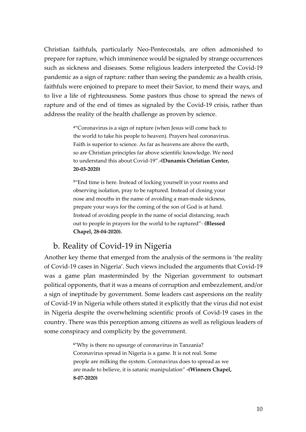Christian faithfuls, particularly Neo-Pentecostals, are often admonished to prepare for rapture, which imminence would be signaled by strange occurrences such as sickness and diseases. Some religious leaders interpreted the Covid-19 pandemic as a sign of rapture: rather than seeing the pandemic as a health crisis, faithfuls were enjoined to prepare to meet their Savior, to mend their ways, and to live a life of righteousness. Some pastors thus chose to spread the news of rapture and of the end of times as signaled by the Covid-19 crisis, rather than address the reality of the health challenge as proven by science.

> **<sup>4</sup>**"Coronavirus is a sign of rapture (when Jesus will come back to the world to take his people to heaven). Prayers heal coronavirus. Faith is superior to science. As far as heavens are above the earth, so are Christian principles far above scientific knowledge. We need to understand this about Covid-19"*.***-(Dunamis Christian Center, 20-03-2020)**

**<sup>5</sup>**"End time is here. Instead of locking yourself in your rooms and observing isolation, pray to be raptured. Instead of closing your nose and mouths in the name of avoiding a man-made sickness, prepare your ways for the coming of the son of God is at hand. Instead of avoiding people in the name of social distancing, reach out to people in prayers for the world to be raptured"*-* **(Blessed Chapel, 28-04-2020).**

### b. Reality of Covid-19 in Nigeria

Another key theme that emerged from the analysis of the sermons is 'the reality of Covid-19 cases in Nigeria'. Such views included the arguments that Covid-19 was a game plan masterminded by the Nigerian government to outsmart political opponents, that it was a means of corruption and embezzlement, and/or a sign of ineptitude by government. Some leaders cast aspersions on the reality of Covid-19 in Nigeria while others stated it explicitly that the virus did not exist in Nigeria despite the overwhelming scientific proofs of Covid-19 cases in the country. There was this perception among citizens as well as religious leaders of some conspiracy and complicity by the government.

> **<sup>6</sup>**"Why is there no upsurge of coronavirus in Tanzania? Coronavirus spread in Nigeria is a game. It is not real. Some people are milking the system. Coronavirus does to spread as we are made to believe, it is satanic manipulation" **-(Winners Chapel, 8-07-2020)**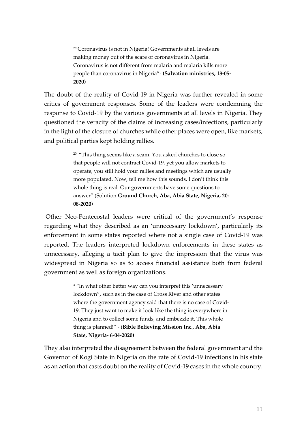**<sup>7</sup>**"Coronavirus is not in Nigeria! Governments at all levels are making money out of the scare of coronavirus in Nigeria. Coronavirus is not different from malaria and malaria kills more people than coronavirus in Nigeria"*-* **(Salvation ministries, 18-05- 2020)**

The doubt of the reality of Covid-19 in Nigeria was further revealed in some critics of government responses. Some of the leaders were condemning the response to Covid-19 by the various governments at all levels in Nigeria. They questioned the veracity of the claims of increasing cases/infections, particularly in the light of the closure of churches while other places were open, like markets, and political parties kept holding rallies.

> 20. "This thing seems like a scam. You asked churches to close so that people will not contract Covid-19, yet you allow markets to operate, you still hold your rallies and meetings which are usually more populated. Now, tell me how this sounds. I don't think this whole thing is real. Our governments have some questions to answer" (Solution **Ground Church, Aba, Abia State, Nigeria, 20- 08-2020)**

Other Neo-Pentecostal leaders were critical of the government's response regarding what they described as an 'unnecessary lockdown', particularly its enforcement in some states reported where not a single case of Covid-19 was reported. The leaders interpreted lockdown enforcements in these states as unnecessary, alleging a tacit plan to give the impression that the virus was widespread in Nigeria so as to access financial assistance both from federal government as well as foreign organizations.

> <sup>3</sup> "In what other better way can you interpret this 'unnecessary lockdown", such as in the case of Cross River and other states where the government agency said that there is no case of Covid-19. They just want to make it look like the thing is everywhere in Nigeria and to collect some funds, and embezzle it. This whole thing is planned!" - (**Bible Believing Mission Inc., Aba, Abia State, Nigeria- 6-04-2020)**

They also interpreted the disagreement between the federal government and the Governor of Kogi State in Nigeria on the rate of Covid-19 infections in his state as an action that casts doubt on the reality of Covid-19 cases in the whole country.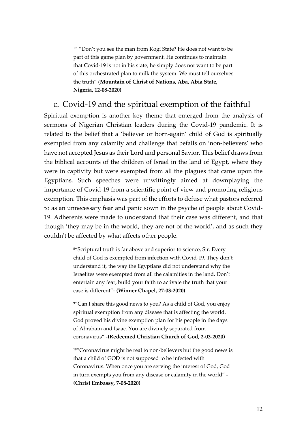<sup>19.</sup> "Don't you see the man from Kogi State? He does not want to be part of this game plan by government. He continues to maintain that Covid-19 is not in his state, he simply does not want to be part of this orchestrated plan to milk the system. We must tell ourselves the truth" (**Mountain of Christ of Nations, Aba, Abia State, Nigeria, 12-08-2020)**

#### c. Covid-19 and the spiritual exemption of the faithful

Spiritual exemption is another key theme that emerged from the analysis of sermons of Nigerian Christian leaders during the Covid-19 pandemic. It is related to the belief that a 'believer or born-again' child of God is spiritually exempted from any calamity and challenge that befalls on 'non-believers' who have not accepted Jesus as their Lord and personal Savior. This belief draws from the biblical accounts of the children of Israel in the land of Egypt, where they were in captivity but were exempted from all the plagues that came upon the Egyptians. Such speeches were unwittingly aimed at downplaying the importance of Covid-19 from a scientific point of view and promoting religious exemption. This emphasis was part of the efforts to defuse what pastors referred to as an unnecessary fear and panic sown in the psyche of people about Covid-19. Adherents were made to understand that their case was different, and that though 'they may be in the world, they are not of the world', and as such they couldn't be affected by what affects other people.

> **<sup>8</sup>**"Scriptural truth is far above and superior to science, Sir. Every child of God is exempted from infection with Covid-19. They don't understand it, the way the Egyptians did not understand why the Israelites were exempted from all the calamities in the land. Don't entertain any fear, build your faith to activate the truth that your case is different"- **(Winner Chapel, 27-03-2020)**

**<sup>9</sup>**"Can I share this good news to you? As a child of God, you enjoy spiritual exemption from any disease that is affecting the world. God proved his divine exemption plan for his people in the days of Abraham and Isaac. You are divinely separated from coronavirus**" -(Redeemed Christian Church of God, 2-03-2020)**

**<sup>10</sup>**"Coronavirus might be real to non-believers but the good news is that a child of GOD is not supposed to be infected with Coronavirus. When once you are serving the interest of God, God in turn exempts you from any disease or calamity in the world" **- (Christ Embassy, 7-08-2020)**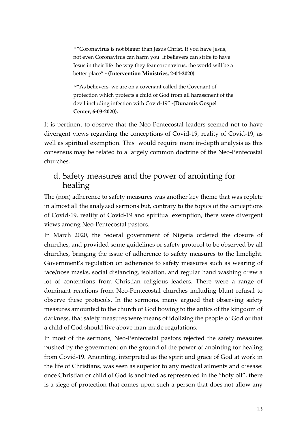**<sup>11</sup>**"Coronavirus is not bigger than Jesus Christ. If you have Jesus, not even Coronavirus can harm you. If believers can strife to have Jesus in their life the way they fear coronavirus, the world will be a better place" **- (Intervention Ministries, 2-04-2020)**

**<sup>12</sup>**"As believers, we are on a covenant called the Covenant of protection which protects a child of God from all harassment of the devil including infection with Covid-19" **-(Dunamis Gospel Center, 6-03-2020).**

It is pertinent to observe that the Neo-Pentecostal leaders seemed not to have divergent views regarding the conceptions of Covid-19, reality of Covid-19, as well as spiritual exemption. This would require more in-depth analysis as this consensus may be related to a largely common doctrine of the Neo-Pentecostal churches.

### d. Safety measures and the power of anointing for healing

The (non) adherence to safety measures was another key theme that was replete in almost all the analyzed sermons but, contrary to the topics of the conceptions of Covid-19, reality of Covid-19 and spiritual exemption, there were divergent views among Neo-Pentecostal pastors.

In March 2020, the federal government of Nigeria ordered the closure of churches, and provided some guidelines or safety protocol to be observed by all churches, bringing the issue of adherence to safety measures to the limelight. Government's regulation on adherence to safety measures such as wearing of face/nose masks, social distancing, isolation, and regular hand washing drew a lot of contentions from Christian religious leaders. There were a range of dominant reactions from Neo-Pentecostal churches including blunt refusal to observe these protocols. In the sermons, many argued that observing safety measures amounted to the church of God bowing to the antics of the kingdom of darkness, that safety measures were means of idolizing the people of God or that a child of God should live above man-made regulations.

In most of the sermons, Neo-Pentecostal pastors rejected the safety measures pushed by the government on the ground of the power of anointing for healing from Covid-19. Anointing, interpreted as the spirit and grace of God at work in the life of Christians, was seen as superior to any medical ailments and disease: once Christian or child of God is anointed as represented in the "holy oil", there is a siege of protection that comes upon such a person that does not allow any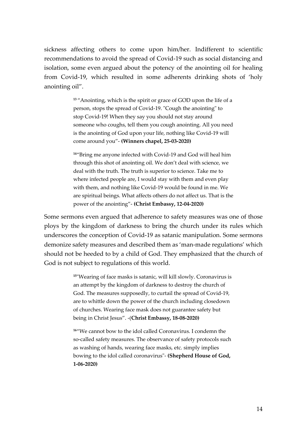sickness affecting others to come upon him/her. Indifferent to scientific recommendations to avoid the spread of Covid-19 such as social distancing and isolation, some even argued about the potency of the anointing oil for healing from Covid-19, which resulted in some adherents drinking shots of 'holy anointing oil".

> **<sup>13</sup>**"Anointing, which is the spirit or grace of GOD upon the life of a person, stops the spread of Covid-19. "Cough the anointing" to stop Covid-19! When they say you should not stay around someone who coughs, tell them you cough anointing. All you need is the anointing of God upon your life, nothing like Covid-19 will come around you"- **(Winners chapel, 25-03-2020)**

> **<sup>14</sup>**"Bring me anyone infected with Covid-19 and God will heal him through this shot of anointing oil. We don't deal with science, we deal with the truth. The truth is superior to science. Take me to where infected people are, I would stay with them and even play with them, and nothing like Covid-19 would be found in me. We are spiritual beings. What affects others do not affect us. That is the power of the anointing"- **(Christ Embassy, 12-04-2020)**

Some sermons even argued that adherence to safety measures was one of those ploys by the kingdom of darkness to bring the church under its rules which underscores the conception of Covid-19 as satanic manipulation. Some sermons demonize safety measures and described them as 'man-made regulations' which should not be heeded to by a child of God. They emphasized that the church of God is not subject to regulations of this world.

> **<sup>15</sup>**"Wearing of face masks is satanic, will kill slowly. Coronavirus is an attempt by the kingdom of darkness to destroy the church of God. The measures supposedly, to curtail the spread of Covid-19, are to whittle down the power of the church including closedown of churches. Wearing face mask does not guarantee safety but being in Christ Jesus". -(**Christ Embassy, 18-08-2020)**

> **<sup>16</sup>**"We cannot bow to the idol called Coronavirus. I condemn the so-called safety measures. The observance of safety protocols such as washing of hands, wearing face masks, etc. simply implies bowing to the idol called coronavirus"- **(Shepherd House of God, 1-06-2020)**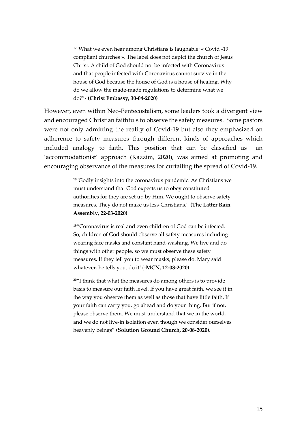**<sup>17</sup>**"What we even hear among Christians is laughable: « Covid -19 compliant churches ». The label does not depict the church of Jesus Christ. A child of God should not be infected with Coronavirus and that people infected with Coronavirus cannot survive in the house of God because the house of God is a house of healing. Why do we allow the made-made regulations to determine what we do?"**- (Christ Embassy, 30-04-2020)**

However, even within Neo-Pentecostalism, some leaders took a divergent view and encouraged Christian faithfuls to observe the safety measures. Some pastors were not only admitting the reality of Covid-19 but also they emphasized on adherence to safety measures through different kinds of approaches which included analogy to faith. This position that can be classified as an 'accommodationist' approach (Kazzim, 2020), was aimed at promoting and encouraging observance of the measures for curtailing the spread of Covid-19.

> **<sup>18</sup>**"Godly insights into the coronavirus pandemic. As Christians we must understand that God expects us to obey constituted authorities for they are set up by Him. We ought to observe safety measures. They do not make us less-Christians." **(The Latter Rain Assembly, 22-03-2020)**

**<sup>19</sup>**"Coronavirus is real and even children of God can be infected. So, children of God should observe all safety measures including wearing face masks and constant hand-washing. We live and do things with other people, so we must observe these safety measures. If they tell you to wear masks, please do. Mary said whatever, he tells you, do it! (-**MCN, 12-08-2020)**

**<sup>20</sup>**"I think that what the measures do among others is to provide basis to measure our faith level. If you have great faith, we see it in the way you observe them as well as those that have little faith. If your faith can carry you, go ahead and do your thing. But if not, please observe them. We must understand that we in the world, and we do not live-in isolation even though we consider ourselves heavenly beings" **(Solution Ground Church, 20-08-2020).**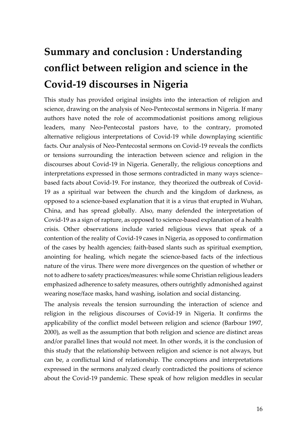# **Summary and conclusion : Understanding conflict between religion and science in the Covid-19 discourses in Nigeria**

This study has provided original insights into the interaction of religion and science, drawing on the analysis of Neo-Pentecostal sermons in Nigeria. If many authors have noted the role of accommodationist positions among religious leaders, many Neo-Pentecostal pastors have, to the contrary, promoted alternative religious interpretations of Covid-19 while downplaying scientific facts. Our analysis of Neo-Pentecostal sermons on Covid-19 reveals the conflicts or tensions surrounding the interaction between science and religion in the discourses about Covid-19 in Nigeria. Generally, the religious conceptions and interpretations expressed in those sermons contradicted in many ways science– based facts about Covid-19. For instance, they theorized the outbreak of Covid-19 as a spiritual war between the church and the kingdom of darkness, as opposed to a science-based explanation that it is a virus that erupted in Wuhan, China, and has spread globally. Also, many defended the interpretation of Covid-19 as a sign of rapture, as opposed to science-based explanation of a health crisis. Other observations include varied religious views that speak of a contention of the reality of Covid-19 cases in Nigeria, as opposed to confirmation of the cases by health agencies; faith-based slants such as spiritual exemption, anointing for healing, which negate the science-based facts of the infectious nature of the virus. There were more divergences on the question of whether or not to adhere to safety practices/measures: while some Christian religious leaders emphasized adherence to safety measures, others outrightly admonished against wearing nose/face masks, hand washing, isolation and social distancing.

The analysis reveals the tension surrounding the interaction of science and religion in the religious discourses of Covid-19 in Nigeria. It confirms the applicability of the conflict model between religion and science (Barbour 1997, 2000), as well as the assumption that both religion and science are distinct areas and/or parallel lines that would not meet. In other words, it is the conclusion of this study that the relationship between religion and science is not always, but can be, a conflictual kind of relationship. The conceptions and interpretations expressed in the sermons analyzed clearly contradicted the positions of science about the Covid-19 pandemic. These speak of how religion meddles in secular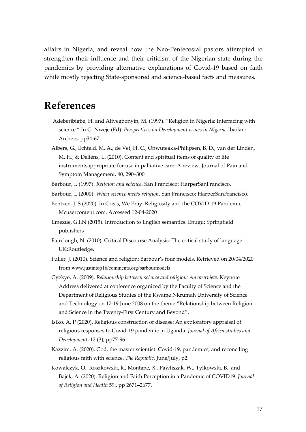affairs in Nigeria, and reveal how the Neo-Pentecostal pastors attempted to strengthen their influence and their criticism of the Nigerian state during the pandemics by providing alternative explanations of Covid-19 based on faith while mostly rejecting State-sponsored and science-based facts and measures.

### **References**

- Adeberibigbe, H. and Aliyegbonyin, M. (1997). "Religion in Nigeria: Interfacing with science." In G. Nweje (Ed). *Perspectives on Development issues in Nigeria*. Ibadan: Archers, pp34-67.
- Albers, G., Echteld, M. A., de Vet, H. C., Onwuteaka-Philipsen, B. D., van der Linden, M. H., & Deliens, L. (2010). Content and spiritual items of quality of life instrumentsappropriate for use in palliative care: A review. Journal of Pain and Symptom Management, 40, 290–300

Barbour, I. (1997). *Religion and science*. San Francisco: HarperSanFrancisco.

- Barbour, I. (2000). *When science meets religion*. San Francisco: HarperSanFrancisco.
- Bentzen, J. S (2020). In Crisis, We Pray: Religiosity and the COVID-19 Pandemic. Mcusercontent.com. Accessed 12-04-2020
- Emezue, G.I.N (2015). Introduction to English semantics. Enugu: Springfield publishers
- Fairclough, N. (2010). Critical Discourse Analysis: The critical study of language. UK:Routledge.
- Fuller, J. (2010). Science and religion: Barbour's four models. Retrieved on 20/04/2020 from www.justintop16/comments.org/barbourmodels
- Gyekye, A. (2009). *Relationship between science and religion: An overview.* Keynote Address delivered at conference organized by the Faculty of Science and the Department of Religious Studies of the Kwame Nkrumah University of Science and Technology on 17-19 June 2008 on the theme "Relationship between Religion and Science in the Twenty-First Century and Beyond".
- Isiko, A. P (2020). Religious construction of disease: An exploratory appraisal of religious responses to Covid-19 pandemic in Uganda. *Journal of Africa studies and Development*, 12 (3), pp77-96
- Kazzim, A. (2020). God, the master scientist: Covid-19, pandemics, and reconciling religious faith with science. *The Republic,* June/July, p2.
- Kowalczyk, O., Roszkowski, k., Montane, X., Pawliszak, W., Tylkowski, B., and Bajek, A. (2020). Religion and Faith Perception in a Pandemic of COVID19. *Journal of Religion and Health* 59:, pp 2671–2677.